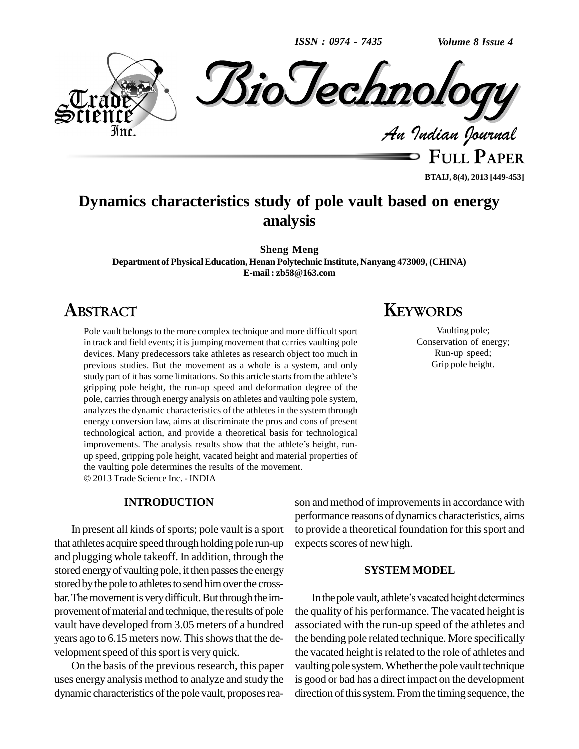*ISSN : 0974 - 7435*

*Volume 8 Issue 4*



**FULL PAPER**

### **BTAIJ, 8(4), 2013 [449-453]**

# **Dynamics characteristics study of pole vault based on energy analysis**

**Sheng Meng Department of PhysicalEducation, Henan Polytechnic Institute, Nanyang 473009, (CHINA) E-mail : [zb58@163.com](mailto:zb58@163.com)**

## **ABSTRACT**

Pole vault belongs to the more complex technique and more difficult sport in track and field events; it is jumping movement that carries vaulting pole devices. Many predecessors take athletes as research object too much in<br>previous studies. But the movement as a whole is a system, and only<br>study part of it has some limitations. So this article starts from the athlete's previous studies. But the movement as a whole is a system, and only gripping pole height, the run-up speed and deformation degree of the pole, carries through energy analysis on athletes and vaulting pole system, analyzes the dynamic characteristics of the athletes in the system through energy conversion law, aims at discriminate the pros and cons of present technological action, and provide a theoretical basis for technological energy conversion law, aims at discriminate the pros and cons of present technological action, and provide a theoretical basis for technological improvements. The analysis results show that the athlete's height, runup speed, gripping pole height, vacated height and material properties of the vaulting pole determines the results of the movement. 2013 Trade Science Inc. - INDIA

#### **INTRODUCTION**

In present all kinds of sports; pole vault is a sport that athletes acquire speed through holding pole run-up and plugging whole takeoff. In addition, through the stored energy of vaulting pole, it then passes the energy stored by the pole to athletes to send him over the crossbar. The movement is very difficult. But through the improvement of material and technique, the results of pole vault have developed from 3.05 meters of a hundred years ago to 6.15 meters now. This shows that the development speed of this sport is very quick.

On the basis of the previous research, this paper uses energy analysis method to analyze and study the dynamic characteristics of the pole vault, proposes rea-

# **KEYWORDS**

Vaulting pole; Conservation of energy; Run-up speed; Grip pole height.

son and method of improvements in accordance with performance reasons of dynamics characteristics, aims to provide a theoretical foundation for this sport and expects scores of new high.

### **SYSTEM MODEL**

In the pole vault, athlete's vacated height determines the quality of his performance. The vacated height is associated with the run-up speed of the athletes and the bending pole related technique. More specifically the vacated height is related to the role of athletes and vaulting pole system. Whether the pole vault technique is good or bad has a direct impact on the development direction of this system. From the timing sequence, the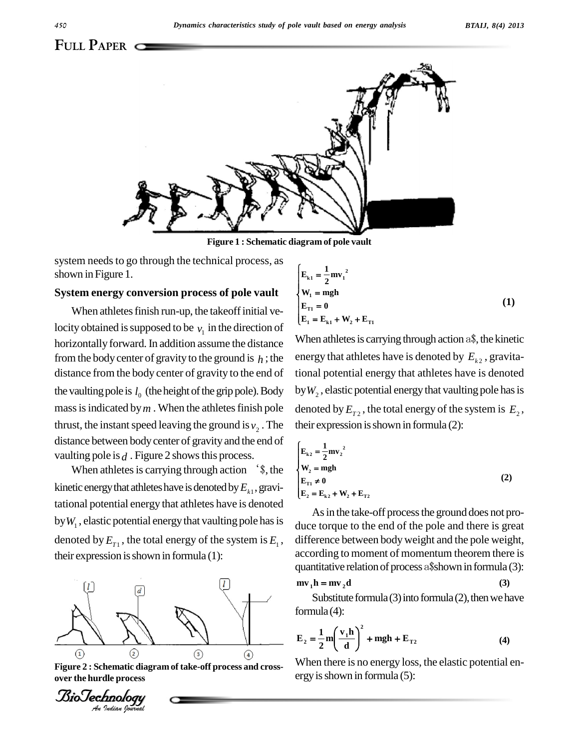

**Figure 1 : Schematic diagram of polevault**

system needs to go through the technical process, as shown in Figure 1.

#### **System energy conversion process of pole vault**

When athletes finish run-up, the takeoff initial velocity obtained is supposed to be  $v_1$  in the direction of horizontally forward. In addition assume the distance from the body center of gravity to the ground is  $h$ ; the distance from the body center of gravity to the end of the vaulting pole is  $l_0$  (the height of the grip pole). Body by  $W_2$ , mass is indicated by  $m$ . When the athletes finish pole thrust, the instant speed leaving the ground is  $v_2$ . The their e distance between bodycenter of gravity and the end of vaulting pole is  $d$ . Figure 2 shows this process.

When athletes is carrying through action  $\hat{ }$ , the kinetic energy that athletes have is denoted by  $E_{k1}$ , gravitational potential energy that athletes have is denoted by  $W_1$ , elastic potential energy that vaulting pole has is denoted by  $E_{T_1}$ , the total energy of the system is  $E_1$ , different their expression is shown in formula  $(1)$ :



**Figure 2 : Schematic diagram of take-off process and cross over the hurdle process**

$$
\begin{cases}\nE_{k1} = \frac{1}{2} m v_1^2 \\
W_1 = mgh \\
E_{T1} = 0 \\
E_1 = E_{k1} + W_2 + E_{T1}\n\end{cases}
$$
\n(1)

When athletes is carrying through action  $a\$ , the kinetic energy that athletes have is denoted by  $E_{k2}$  , gravitational potential energy that athletes have is denoted by  $W_2$  , elastic potential energy that vaulting pole has is denoted by  $E_{T2}$ , the total energy of the system is  $E_2$ , their expression is shown in formula  $(2)$ :

$$
\begin{cases}\nE_{k2} = \frac{1}{2} m v_2^2 \\
W_2 = mgh \\
E_{T1} \neq 0 \\
E_2 = E_{k2} + W_2 + E_{T2}\n\end{cases}
$$
\n(2)

, difference between bodyweight and the pole weight, As in the take-off process the ground does not produce torque to the end of the pole and there is great according to moment of momentum theorem there is quantitative relation of process a\$shown in formula (3):<br>  $mv_1 h = mv_2 d$  (3)

$$
mv_1 h = mv_2 d \tag{3}
$$

Substitute formula  $(3)$  into formula  $(2)$ , then we have formula(4): mula (4):<br>1  $(\mathbf{v}, \mathbf{h})^2$ 

$$
E_2 = \frac{1}{2} m \left( \frac{v_1 h}{d} \right)^2 + mgh + E_{T2}
$$
 (4)

When there is no energy loss, the elastic potential energy is shown in formula  $(5)$ :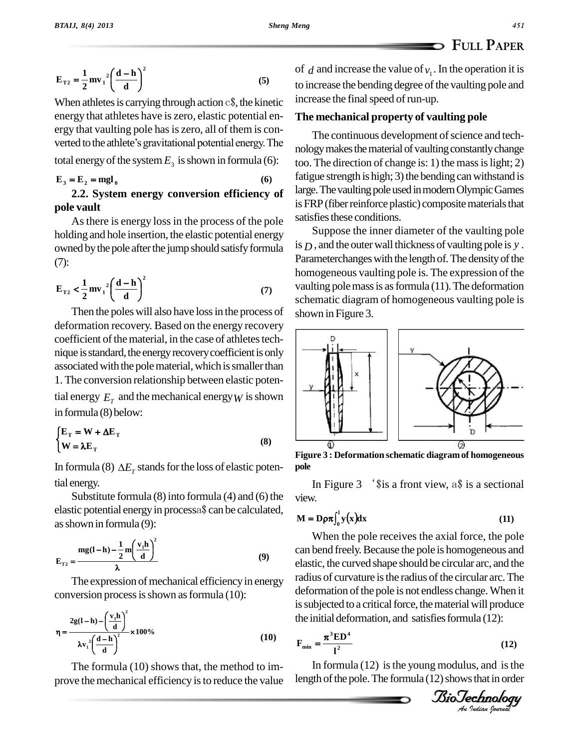$$
E_{T2} = \frac{1}{2} m v_1^2 \left(\frac{d-h}{d}\right)^2
$$
 (5)

ī

When athletes is carrying through action  $c\$ , the kinetic energy that athletes have is zero, elastic potential en-<br>ergy that vaulting pole has is zero, all of them is con-<br>verted to the athlete's gravitational potential energy. The ergy that vaulting pole has is zero, all of them is con-

total energy of the system 
$$
E_3
$$
 is shown in formula (6):  
\n $E_3 = E_2 = mgl_0$  (6)  $\frac{f_3}{2}$   
\n2.2. System energy conversion efficiency of

## **2.2. System energy conversion efficiency of pole vault**

Asthere is energy lossin the process of the pole holding and hole insertion, the elastic potential energy owned by the pole after the jump should satisfy formula (7):  $-\mathbf{h}$ )<sup>2</sup>

(7):  

$$
E_{T2} < \frac{1}{2} m v_1^2 \left(\frac{d-h}{d}\right)^2
$$
 (7)

Then the poleswill also have lossin the process of deformation recovery. Based on the energy recovery coefficient of the material, in the case of athletes technique is standard, the energy recovery coefficient is only associated with the pole material, which is smaller than 1. The conversion relationship between elastic potential energy  $E_T$  and the mechanical energy *W* is shown in formula (8) below: in formula (8) below:<br> $\mathbf{E}_{\mathbf{r}} = \mathbf{W} + \mathbf{\Delta} \mathbf{E}_{\mathbf{r}}$ 

$$
\begin{cases} \mathbf{E}_{\mathrm{T}} = \mathbf{W} + \Delta \mathbf{E}_{\mathrm{T}} \\ \mathbf{W} = \lambda \mathbf{E}_{\mathrm{T}} \end{cases}
$$
 (8)

In formula (8)  $\Delta E_{\tau}$  stands for the loss of elastic potential energy.

Substitute formula  $(8)$  into formula  $(4)$  and  $(6)$  the elastic potential energy in processa\$ can be calculated,

as shown in formula (9):  
\n
$$
\mathbf{E}_{\text{T2}} = \frac{\mathbf{mg}(\mathbf{I} - \mathbf{h}) - \frac{1}{2}\mathbf{m}\left(\frac{\mathbf{v}_1\mathbf{h}}{d}\right)^2}{\lambda}
$$
\n(9)

The expression of mechanical efficiency in energy conversion processisshown asformula (10):

$$
\eta = \frac{2g(1-h) - \left(\frac{v_1h}{d}\right)^2}{\lambda v_1^2 \left(\frac{d-h}{d}\right)^2} \times 100\%
$$
 (10)

The formula (10) shows that, the method to im prove the mechanical efficiency is to reduce the value

of  $d$  and increase the value of  $v_1$ . In the operation it is to increase the bending degree of the vaulting pole and increase the final speed of run-up.

## **The mechanical property of vaulting pole**

 $Sheng$  *Meng* 

The continuous development of science and technology makes the material of vaulting constantly change too. The direction of change is: 1) the mass is light; 2) fatigue strength is high;  $3$ ) the bending can withstand is large. The vaulting pole used in modern Olympic Games is FRP (fiber reinforce plastic) composite materials that satisfies these conditions.

Suppose the inner diameter of the vaulting pole is *D* , and the outerwall thickness of vaulting pole is *y* . Parameterchanges with the length of. The density of the homogeneous vaulting pole is. The expression of the vaulting pole mass is as formula  $(11)$ . The deformation schematic diagram of homogeneous vaulting pole is shown in Figure 3.



**Figure 3 : Deformation schematic diagramof homogeneous pole**

In Figure 3 <sup>the</sup> is a front view, a\$ is a sectional<br>  $\sqrt{v}$ .<br>  $\ln \frac{1}{v(x)}$  is a sectional<br>  $\ln \frac{1}{v(x)}$  is a sectional view.

view.  
\n
$$
M = D\rho \pi \int_0^1 y(x) dx
$$
\n(11)

deformation of the pole is not endless change. When it When the pole receives the axial force, the pole can bend freely.Because the pole is homogeneous and elastic, the curved shape should be circular arc, and the radius of curvature is the radius of the circular arc. The is subjected to a critical force, the material will produce the initial deformation, and satisfies formula  $(12)$ :

$$
F_{\min} = \frac{\pi^3 \mathbf{E} \mathbf{D}^4}{l^2} \tag{12}
$$

In formula  $(12)$  is the young modulus, and is the length of the pole. The formula  $(12)$  shows that in order

*IsioTechnology*<br>An Indian Journal

$$
45i
$$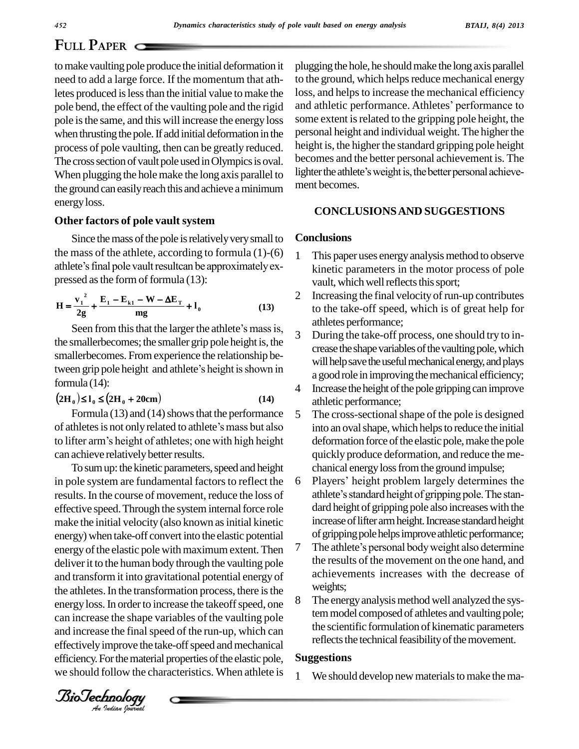# **FULL PAPER**

tomake vaulting pole produce the initial deformation it need to add a large force. If the momentum that athletes produced is less than the initial value to make the pole bend, the effect of the vaulting pole and the rigid pole isthe same, and this will increase the energy loss when thrusting the pole. If add initial deformation in the process of pole vaulting, then can be greatly reduced. The cross section of vault pole used in Olympics is oval. When plugging the holemake the long axis parallel to the ground can easily reach this and achieve a minimum energyloss.

## **Other factors of pole vault system**

Since the mass of the pole is relatively very small to the mass of the athlete, according to formula  $(1)-(6)$  1 athlete's final pole vault resultcan be approximately ex-

pressed as the form of formula (13):  
\n
$$
H = \frac{v_1^2}{2g} + \frac{E_1 - E_{k1} - W - \Delta E_T}{mg} + I_0
$$
\n(13)

the smallerbecomes; the smaller grip pole height is, the smallerbecomes. Fromexperience the relationship bethe smallerbecomes; the smaller grip pole height is, the<br>
smallerbecomes. From experience the relationship be-<br>
tween grip pole height and athlete's height is shown in<br>
formula (14):<br>  $(2H_0) \le I_0 \le (2H_0 + 20cm)$ <br>
(14)<br>  $(1$ formula (14):

$$
(2H_0) \le I_0 \le (2H_0 + 20cm) \tag{14}
$$

Formula (13) and (14) shows that the performance  $\overline{\phantom{a}}$  5 of athletes is not only related to athlete's mass but also to lifter arm's height of athletes; one with high height can achieve relatively better results.

the athletes. In the transformation process, there is the  $\frac{W}{2}$ and increase the final speed of the run-up, which can To sum up: the kinetic parameters, speed and height in pole system are fundamental factors to reflect the 6 results. In the course of movement, reduce the loss of effective speed. Through the system internal force role make the initial velocity (also known as initial kinetic energy) when take-off convert into the elastic potential<br>energy of the elastic pole with maximum extent. Then energy of the elastic pole with maximum extent. Then  $\frac{7}{1}$  The athlete's personal body weight also determine deliver it to the human body through the vaulting pole and transformit into gravitational potential energy of energy loss. In order to increase the takeoff speed, one  $8$ can increase the shape variables of the vaulting pole effectively improve the take-off speed and mechanical efficiency. For the material properties of the elastic pole, we should follow the characteristics. When athlete is  $\frac{1}{1}$ 

plugging the hole, he should make the long axis parallel to the ground, which helps reduce mechanical energy loss, and helps to increase the mechanical efficiency and athletic performance. Athletes' performance to some extent is related to the gripping pole height, the personal height and individual weight. The higher the height is, the higher the standard gripping pole height becomes and the better personal achievement is. The lighter the athlete's weight is, the better personal achievement becomes.

### **CONCLUSIONSAND SUGGESTIONS**

#### **Conclusions**

- This paper uses energy analysis method to observe kinetic parameters in the motor process of pole vault, which well reflects this sport;
- Increasing the final velocity of run-up contributes to the take-off speed, which is of great help for athletes performance;
- During the take-off process, one should try to increase the shape variables of the vaulting pole, which will help save the useful mechanical energy, and plays a good role in improving the mechanical efficiency;
- 4 Increase the height of the pole gripping can improve athletic performance;
- The cross-sectional shape of the pole is designed into an oval shape, which helps to reduce the initial deformation force of the elastic pole, make the pole quickly produce deformation, and reduce the me chanical energy loss from the ground impulse; quickly produce deformation, and reduce the mechanical energy loss from the ground impulse;<br>6 Players' height problem largely determines the
- chanical energy loss from the ground impulse;<br>Players' height problem largely determines the<br>athlete's standard height of gripping pole. The standard height of gripping pole also increases with the increase of lifter arm height. Increase standard height<br>of gripping pole helps improve athletic performance;<br>The athlete's personal body weight also determine of gripping pole helps improve athletic performance;
- the results of the movement on the one hand, and achievements increases with the decrease of weights;
- The energy analysis method well analyzed the system model composed of athletes and vaulting pole; the scientific formulation of kinematic parameters reflects the technical feasibility of the movement.

#### **Suggestions**

We should develop new materials to make the ma-

*Indian Journal*